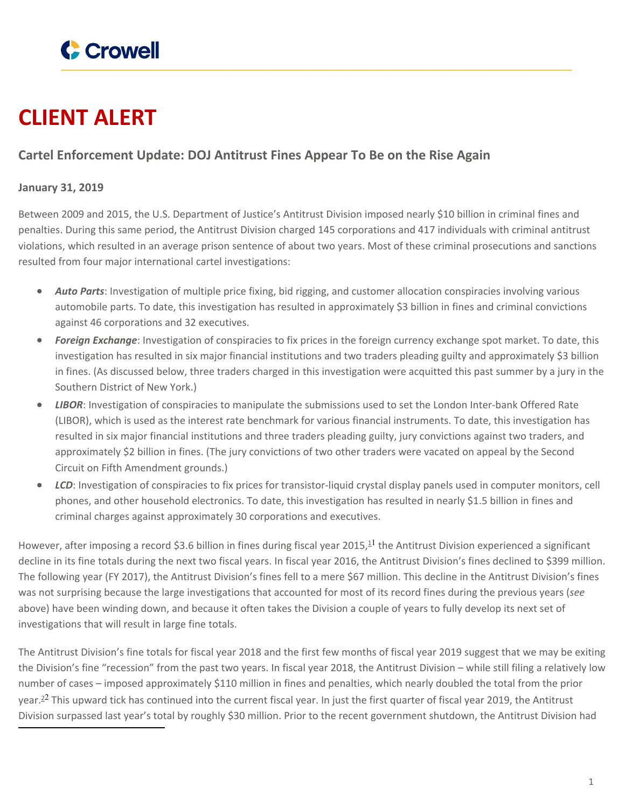

# **CLIENT ALERT**

# **Cartel Enforcement Update: DOJ Antitrust Fines Appear To Be on the Rise Again**

## **January 31, 2019**

Between 2009 and 2015, the U.S. Department of Justice's Antitrust Division imposed nearly \$10 billion in criminal fines and penalties. During this same period, the Antitrust Division charged 145 corporations and 417 individuals with criminal antitrust violations, which resulted in an average prison sentence of about two years. Most of these criminal prosecutions and sanctions resulted from four major international cartel investigations:

- *Auto Parts*: Investigation of multiple price fixing, bid rigging, and customer allocation conspiracies involving various automobile parts. To date, this investigation has resulted in approximately \$3 billion in fines and criminal convictions against 46 corporations and 32 executives.
- *Foreign Exchange*: Investigation of conspiracies to fix prices in the foreign currency exchange spot market. To date, this investigation has resulted in six major financial institutions and two traders pleading guilty and approximately \$3 billion in fines. (As discussed below, three traders charged in this investigation were acquitted this past summer by a jury in the Southern District of New York.)
- *LIBOR*: Investigation of conspiracies to manipulate the submissions used to set the London Inter-bank Offered Rate (LIBOR), which is used as the interest rate benchmark for various financial instruments. To date, this investigation has resulted in six major financial institutions and three traders pleading guilty, jury convictions against two traders, and approximately \$2 billion in fines. (The jury convictions of two other traders were vacated on appeal by the Second Circuit on Fifth Amendment grounds.)
- *LCD*: Investigation of conspiracies to fix prices for transistor-liquid crystal display panels used in computer monitors, cell phones, and other household electronics. To date, this investigation has resulted in nearly \$1.5 billion in fines and criminal charges against approximately 30 corporations and executives.

However, after imposing a record \$3.6 billion in fines during fiscal year 2015,<sup>11</sup> the Antitrust Division experienced a significant decline in its fine totals during the next two fiscal years. In fiscal year 2016, the Antitrust Division's fines declined to \$399 million. The following year (FY 2017), the Antitrust Division's fines fell to a mere \$67 million. This decline in the Antitrust Division's fines was not surprising because the large investigations that accounted for most of its record fines during the previous years (*see* above) have been winding down, and because it often takes the Division a couple of years to fully develop its next set of investigations that will result in large fine totals.

The Antitrust Division's fine totals for fiscal year 2018 and the first few months of fiscal year 2019 suggest that we may be exiting the Division's fine "recession" from the past two years. In fiscal year 2018, the Antitrust Division – while still filing a relatively low number of cases – imposed approximately \$110 million in fines and penalties, which nearly doubled the total from the prior year.<sup>22</sup> This upward tick has continued into the current fiscal year. In just the first quarter of fiscal year 2019, the Antitrust Division surpassed last year's total by roughly \$30 million. Prior to the recent government shutdown, the Antitrust Division had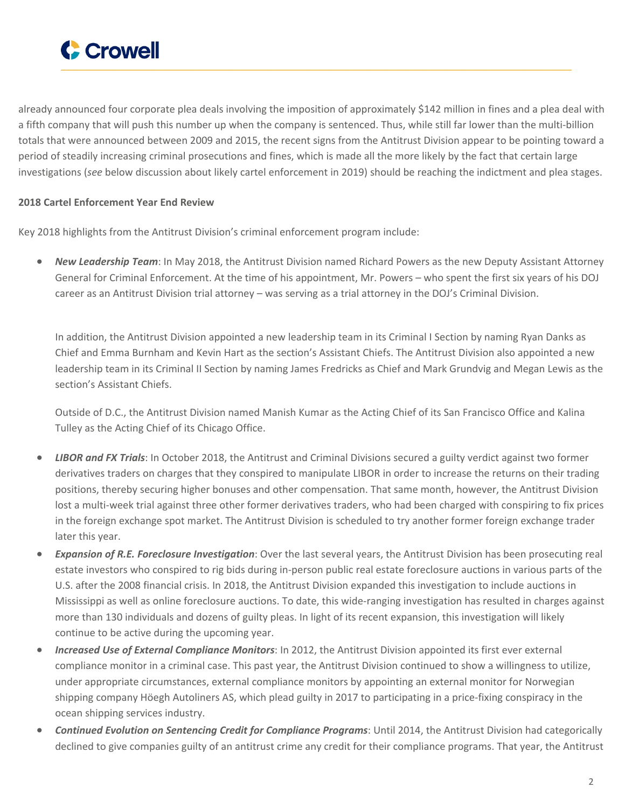

already announced four corporate plea deals involving the imposition of approximately \$142 million in fines and a plea deal with a fifth company that will push this number up when the company is sentenced. Thus, while still far lower than the multi-billion totals that were announced between 2009 and 2015, the recent signs from the Antitrust Division appear to be pointing toward a period of steadily increasing criminal prosecutions and fines, which is made all the more likely by the fact that certain large investigations (*see* below discussion about likely cartel enforcement in 2019) should be reaching the indictment and plea stages.

### **2018 Cartel Enforcement Year End Review**

Key 2018 highlights from the Antitrust Division's criminal enforcement program include:

 *New Leadership Team*: In May 2018, the Antitrust Division named Richard Powers as the new Deputy Assistant Attorney General for Criminal Enforcement. At the time of his appointment, Mr. Powers – who spent the first six years of his DOJ career as an Antitrust Division trial attorney – was serving as a trial attorney in the DOJ's Criminal Division.

In addition, the Antitrust Division appointed a new leadership team in its Criminal I Section by naming Ryan Danks as Chief and Emma Burnham and Kevin Hart as the section's Assistant Chiefs. The Antitrust Division also appointed a new leadership team in its Criminal II Section by naming James Fredricks as Chief and Mark Grundvig and Megan Lewis as the section's Assistant Chiefs.

Outside of D.C., the Antitrust Division named Manish Kumar as the Acting Chief of its San Francisco Office and Kalina Tulley as the Acting Chief of its Chicago Office.

- *LIBOR and FX Trials*: In October 2018, the Antitrust and Criminal Divisions secured a guilty verdict against two former derivatives traders on charges that they conspired to manipulate LIBOR in order to increase the returns on their trading positions, thereby securing higher bonuses and other compensation. That same month, however, the Antitrust Division lost a multi-week trial against three other former derivatives traders, who had been charged with conspiring to fix prices in the foreign exchange spot market. The Antitrust Division is scheduled to try another former foreign exchange trader later this year.
- *Expansion of R.E. Foreclosure Investigation*: Over the last several years, the Antitrust Division has been prosecuting real estate investors who conspired to rig bids during in-person public real estate foreclosure auctions in various parts of the U.S. after the 2008 financial crisis. In 2018, the Antitrust Division expanded this investigation to include auctions in Mississippi as well as online foreclosure auctions. To date, this wide-ranging investigation has resulted in charges against more than 130 individuals and dozens of guilty pleas. In light of its recent expansion, this investigation will likely continue to be active during the upcoming year.
- *Increased Use of External Compliance Monitors*: In 2012, the Antitrust Division appointed its first ever external compliance monitor in a criminal case. This past year, the Antitrust Division continued to show a willingness to utilize, under appropriate circumstances, external compliance monitors by appointing an external monitor for Norwegian shipping company Höegh Autoliners AS, which plead guilty in 2017 to participating in a price-fixing conspiracy in the ocean shipping services industry.
- *Continued Evolution on Sentencing Credit for Compliance Programs*: Until 2014, the Antitrust Division had categorically declined to give companies guilty of an antitrust crime any credit for their compliance programs. That year, the Antitrust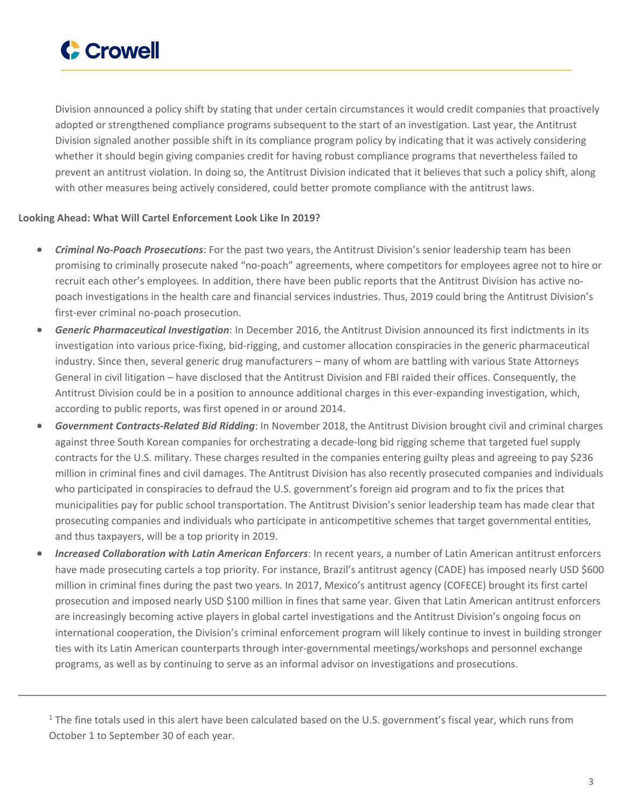

Division announced a policy shift by stating that under certain circumstances it would credit companies that proactively adopted or strengthened compliance programs subsequent to the start of an investigation. Last year, the Antitrust Division signaled another possible shift in its compliance program policy by indicating that it was actively considering whether it should begin giving companies credit for having robust compliance programs that nevertheless failed to prevent an antitrust violation. In doing so, the Antitrust Division indicated that it believes that such a policy shift, along with other measures being actively considered, could better promote compliance with the antitrust laws.

### **Looking Ahead: What Will Cartel Enforcement Look Like In 2019?**

- *Criminal No-Poach Prosecutions*: For the past two years, the Antitrust Division's senior leadership team has been promising to criminally prosecute naked "no-poach" agreements, where competitors for employees agree not to hire or recruit each other's employees. In addition, there have been public reports that the Antitrust Division has active nopoach investigations in the health care and financial services industries. Thus, 2019 could bring the Antitrust Division's first-ever criminal no-poach prosecution.
- *Generic Pharmaceutical Investigation*: In December 2016, the Antitrust Division announced its first indictments in its investigation into various price-fixing, bid-rigging, and customer allocation conspiracies in the generic pharmaceutical industry. Since then, several generic drug manufacturers – many of whom are battling with various State Attorneys General in civil litigation – have disclosed that the Antitrust Division and FBI raided their offices. Consequently, the Antitrust Division could be in a position to announce additional charges in this ever-expanding investigation, which, according to public reports, was first opened in or around 2014.
- *Government Contracts-Related Bid Ridding*: In November 2018, the Antitrust Division brought civil and criminal charges against three South Korean companies for orchestrating a decade-long bid rigging scheme that targeted fuel supply contracts for the U.S. military. These charges resulted in the companies entering guilty pleas and agreeing to pay \$236 million in criminal fines and civil damages. The Antitrust Division has also recently prosecuted companies and individuals who participated in conspiracies to defraud the U.S. government's foreign aid program and to fix the prices that municipalities pay for public school transportation. The Antitrust Division's senior leadership team has made clear that prosecuting companies and individuals who participate in anticompetitive schemes that target governmental entities, and thus taxpayers, will be a top priority in 2019.
- *Increased Collaboration with Latin American Enforcers*: In recent years, a number of Latin American antitrust enforcers have made prosecuting cartels a top priority. For instance, Brazil's antitrust agency (CADE) has imposed nearly USD \$600 million in criminal fines during the past two years. In 2017, Mexico's antitrust agency (COFECE) brought its first cartel prosecution and imposed nearly USD \$100 million in fines that same year. Given that Latin American antitrust enforcers are increasingly becoming active players in global cartel investigations and the Antitrust Division's ongoing focus on international cooperation, the Division's criminal enforcement program will likely continue to invest in building stronger ties with its Latin American counterparts through inter-governmental meetings/workshops and personnel exchange programs, as well as by continuing to serve as an informal advisor on investigations and prosecutions.

 $1$  The fine totals used in this alert have been calculated based on the U.S. government's fiscal year, which runs from October 1 to September 30 of each year.